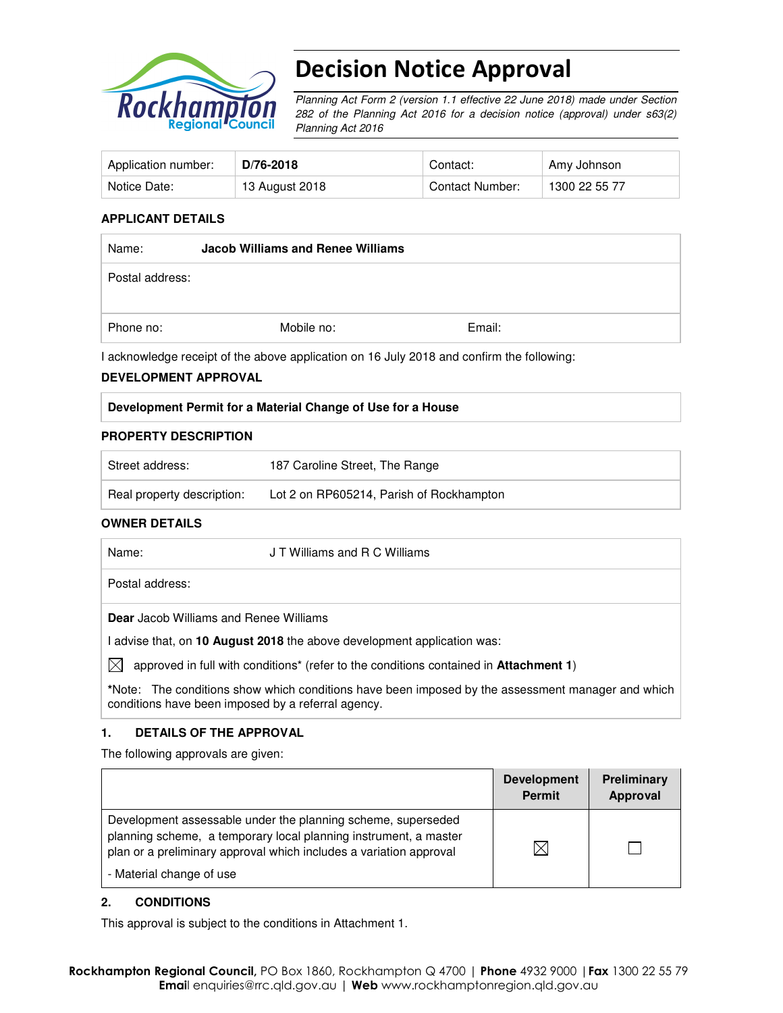

# Decision Notice Approval

Planning Act Form 2 (version 1.1 effective 22 June 2018) made under Section 282 of the Planning Act 2016 for a decision notice (approval) under s63(2) Planning Act 2016

| Application number: | D/76-2018      | Contact:        | Amy Johnson   |
|---------------------|----------------|-----------------|---------------|
| Notice Date:        | 13 August 2018 | Contact Number: | 1300 22 55 77 |

### **APPLICANT DETAILS**

| Name:           | <b>Jacob Williams and Renee Williams</b> |        |  |
|-----------------|------------------------------------------|--------|--|
| Postal address: |                                          |        |  |
| Phone no:       | Mobile no:                               | Email: |  |

I acknowledge receipt of the above application on 16 July 2018 and confirm the following:

#### **DEVELOPMENT APPROVAL**

| Development Permit for a Material Change of Use for a House |
|-------------------------------------------------------------|
|-------------------------------------------------------------|

### **PROPERTY DESCRIPTION**

| Street address:            | 187 Caroline Street. The Range           |
|----------------------------|------------------------------------------|
| Real property description: | Lot 2 on RP605214, Parish of Rockhampton |

### **OWNER DETAILS**

| Name:                                         | J T Williams and R C Williams                                                                                    |
|-----------------------------------------------|------------------------------------------------------------------------------------------------------------------|
| Postal address:                               |                                                                                                                  |
| <b>Dear</b> Jacob Williams and Renee Williams |                                                                                                                  |
|                                               | I advise that, on 10 August 2018 the above development application was:                                          |
| M                                             | approved in full with conditions <sup>*</sup> (refer to the conditions contained in <b>Attachment 1)</b>         |
|                                               | *Nister - The consilions show which consilions have been been developed by the consecutive consecutive and which |

**\***Note:The conditions show which conditions have been imposed by the assessment manager and which conditions have been imposed by a referral agency.

### **1. DETAILS OF THE APPROVAL**

The following approvals are given:

|                                                                                                                                                                                                                                    | <b>Development</b><br><b>Permit</b> | Preliminary<br><b>Approval</b> |
|------------------------------------------------------------------------------------------------------------------------------------------------------------------------------------------------------------------------------------|-------------------------------------|--------------------------------|
| Development assessable under the planning scheme, superseded<br>planning scheme, a temporary local planning instrument, a master<br>plan or a preliminary approval which includes a variation approval<br>- Material change of use | ⋉                                   |                                |

#### **2. CONDITIONS**

This approval is subject to the conditions in Attachment 1.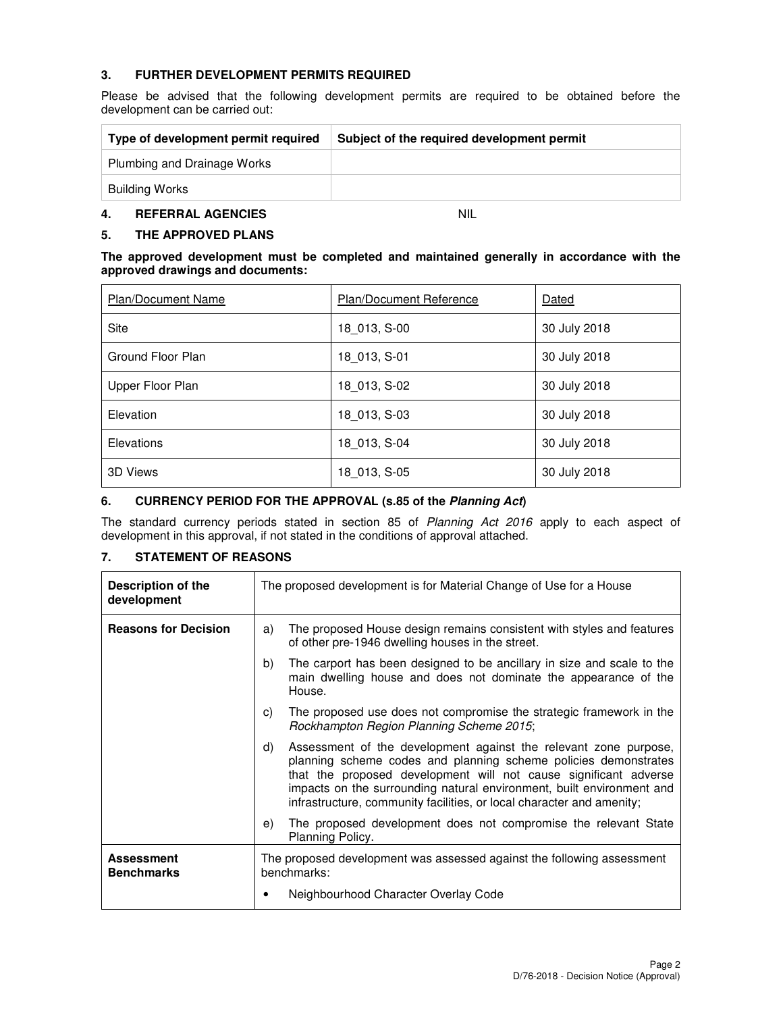## **3. FURTHER DEVELOPMENT PERMITS REQUIRED**

Please be advised that the following development permits are required to be obtained before the development can be carried out:

| Type of development permit required | Subject of the required development permit |
|-------------------------------------|--------------------------------------------|
| Plumbing and Drainage Works         |                                            |
| Building Works                      |                                            |

## **4. REFERRAL AGENCIES** NIL

## **5. THE APPROVED PLANS**

#### **The approved development must be completed and maintained generally in accordance with the approved drawings and documents:**

| <b>Plan/Document Name</b> | <b>Plan/Document Reference</b> | Dated        |
|---------------------------|--------------------------------|--------------|
| Site                      | 18 013, S-00                   | 30 July 2018 |
| Ground Floor Plan         | 18 013, S-01                   | 30 July 2018 |
| Upper Floor Plan          | 18 013, S-02                   | 30 July 2018 |
| Elevation                 | 18 013, S-03                   | 30 July 2018 |
| Elevations                | 18 013, S-04                   | 30 July 2018 |
| 3D Views                  | 18 013, S-05                   | 30 July 2018 |

### **6. CURRENCY PERIOD FOR THE APPROVAL (s.85 of the Planning Act)**

The standard currency periods stated in section 85 of Planning Act 2016 apply to each aspect of development in this approval, if not stated in the conditions of approval attached.

## **7. STATEMENT OF REASONS**

| Description of the<br>development      | The proposed development is for Material Change of Use for a House                                                                                                                                                                                                                                                                                              |  |
|----------------------------------------|-----------------------------------------------------------------------------------------------------------------------------------------------------------------------------------------------------------------------------------------------------------------------------------------------------------------------------------------------------------------|--|
| <b>Reasons for Decision</b>            | The proposed House design remains consistent with styles and features<br>a)<br>of other pre-1946 dwelling houses in the street.                                                                                                                                                                                                                                 |  |
|                                        | The carport has been designed to be ancillary in size and scale to the<br>b)<br>main dwelling house and does not dominate the appearance of the<br>House.                                                                                                                                                                                                       |  |
|                                        | The proposed use does not compromise the strategic framework in the<br>C)<br>Rockhampton Region Planning Scheme 2015;                                                                                                                                                                                                                                           |  |
|                                        | Assessment of the development against the relevant zone purpose,<br>d)<br>planning scheme codes and planning scheme policies demonstrates<br>that the proposed development will not cause significant adverse<br>impacts on the surrounding natural environment, built environment and<br>infrastructure, community facilities, or local character and amenity; |  |
|                                        | The proposed development does not compromise the relevant State<br>e)<br>Planning Policy.                                                                                                                                                                                                                                                                       |  |
| <b>Assessment</b><br><b>Benchmarks</b> | The proposed development was assessed against the following assessment<br>benchmarks:<br>Neighbourhood Character Overlay Code                                                                                                                                                                                                                                   |  |
|                                        |                                                                                                                                                                                                                                                                                                                                                                 |  |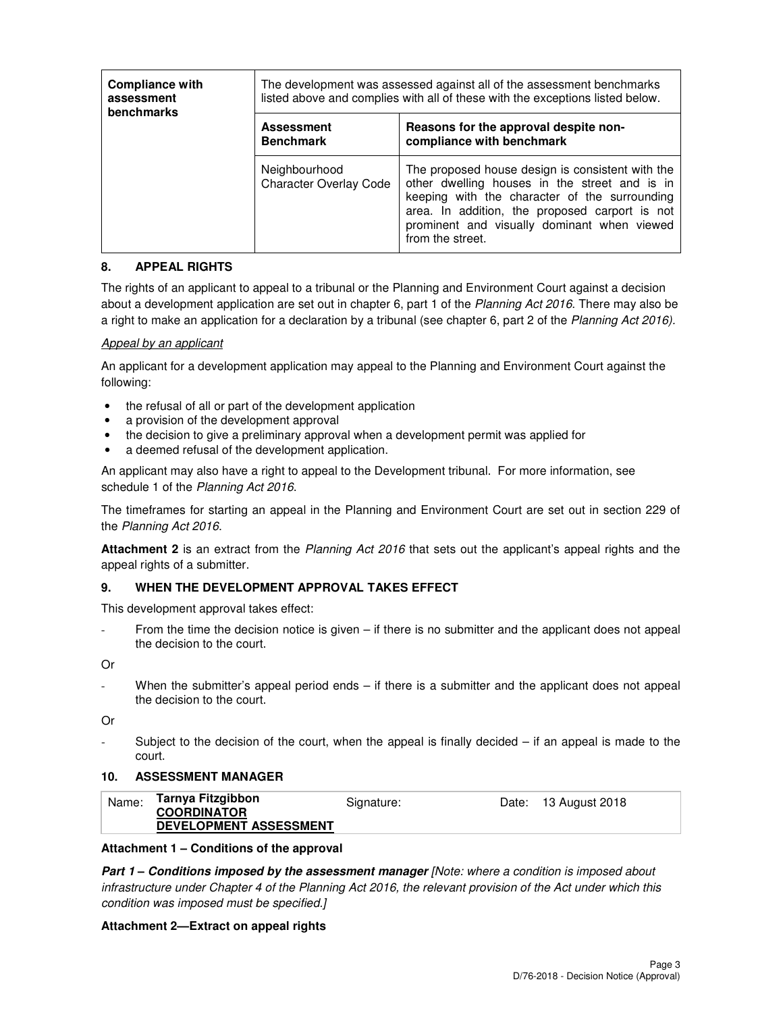| <b>Compliance with</b><br>assessment<br><b>benchmarks</b> | The development was assessed against all of the assessment benchmarks<br>listed above and complies with all of these with the exceptions listed below. |                                                                                                                                                                                                                                                                         |  |
|-----------------------------------------------------------|--------------------------------------------------------------------------------------------------------------------------------------------------------|-------------------------------------------------------------------------------------------------------------------------------------------------------------------------------------------------------------------------------------------------------------------------|--|
|                                                           | <b>Assessment</b><br><b>Benchmark</b>                                                                                                                  | Reasons for the approval despite non-<br>compliance with benchmark                                                                                                                                                                                                      |  |
|                                                           | Neighbourhood<br><b>Character Overlay Code</b>                                                                                                         | The proposed house design is consistent with the<br>other dwelling houses in the street and is in<br>keeping with the character of the surrounding<br>area. In addition, the proposed carport is not<br>prominent and visually dominant when viewed<br>from the street. |  |

## **8. APPEAL RIGHTS**

The rights of an applicant to appeal to a tribunal or the Planning and Environment Court against a decision about a development application are set out in chapter 6, part 1 of the Planning Act 2016. There may also be a right to make an application for a declaration by a tribunal (see chapter 6, part 2 of the Planning Act 2016).

### Appeal by an applicant

An applicant for a development application may appeal to the Planning and Environment Court against the following:

- the refusal of all or part of the development application
- a provision of the development approval
- the decision to give a preliminary approval when a development permit was applied for
- a deemed refusal of the development application.

An applicant may also have a right to appeal to the Development tribunal. For more information, see schedule 1 of the Planning Act 2016.

The timeframes for starting an appeal in the Planning and Environment Court are set out in section 229 of the Planning Act 2016.

**Attachment 2** is an extract from the Planning Act 2016 that sets out the applicant's appeal rights and the appeal rights of a submitter.

### **9. WHEN THE DEVELOPMENT APPROVAL TAKES EFFECT**

This development approval takes effect:

From the time the decision notice is given  $-$  if there is no submitter and the applicant does not appeal the decision to the court.

Or

When the submitter's appeal period ends – if there is a submitter and the applicant does not appeal the decision to the court.

Or

Subject to the decision of the court, when the appeal is finally decided  $-$  if an appeal is made to the court.

#### **10. ASSESSMENT MANAGER**

| Name: | Tarnya Fitzgibbon<br><b>COORDINATOR</b> | Signature: | Date: 13 August 2018 |
|-------|-----------------------------------------|------------|----------------------|
|       | <b>DEVELOPMENT ASSESSMENT</b>           |            |                      |

#### **Attachment 1 – Conditions of the approval**

**Part 1 – Conditions imposed by the assessment manager** [Note: where a condition is imposed about infrastructure under Chapter 4 of the Planning Act 2016, the relevant provision of the Act under which this condition was imposed must be specified.]

#### **Attachment 2—Extract on appeal rights**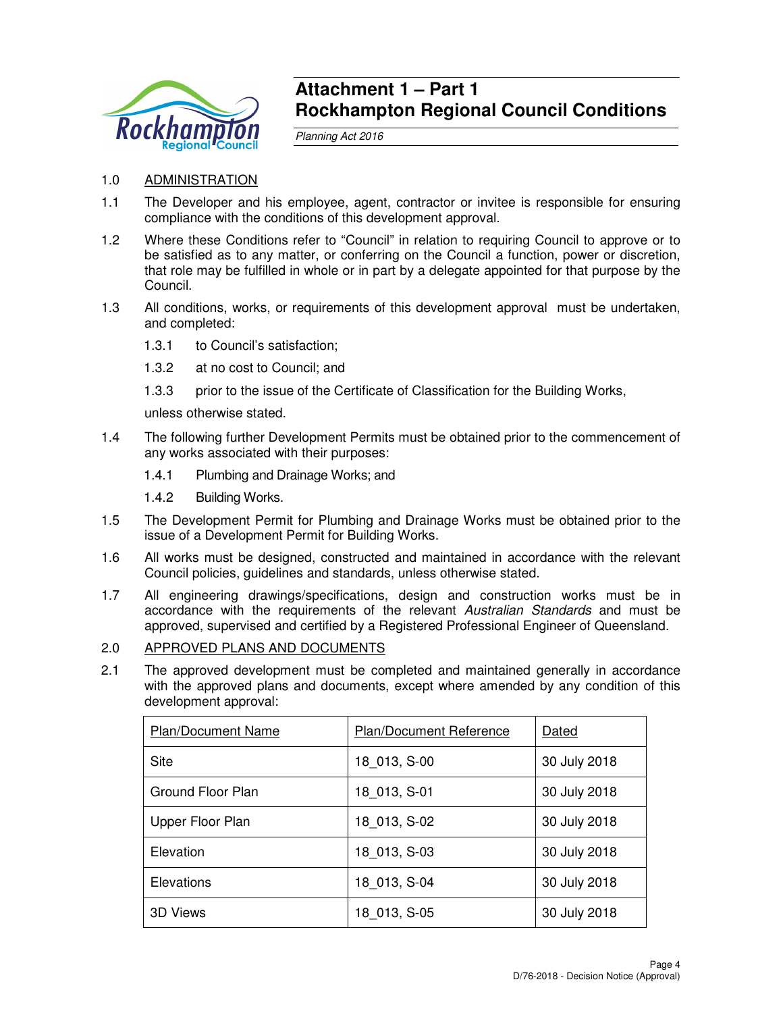

## **Attachment 1 – Part 1 Rockhampton Regional Council Conditions**

Planning Act 2016

## 1.0 ADMINISTRATION

- 1.1 The Developer and his employee, agent, contractor or invitee is responsible for ensuring compliance with the conditions of this development approval.
- 1.2 Where these Conditions refer to "Council" in relation to requiring Council to approve or to be satisfied as to any matter, or conferring on the Council a function, power or discretion, that role may be fulfilled in whole or in part by a delegate appointed for that purpose by the Council.
- 1.3 All conditions, works, or requirements of this development approval must be undertaken, and completed:
	- 1.3.1 to Council's satisfaction;
	- 1.3.2 at no cost to Council; and
	- 1.3.3 prior to the issue of the Certificate of Classification for the Building Works,

unless otherwise stated.

- 1.4 The following further Development Permits must be obtained prior to the commencement of any works associated with their purposes:
	- 1.4.1 Plumbing and Drainage Works; and
	- 1.4.2 Building Works.
- 1.5 The Development Permit for Plumbing and Drainage Works must be obtained prior to the issue of a Development Permit for Building Works.
- 1.6 All works must be designed, constructed and maintained in accordance with the relevant Council policies, guidelines and standards, unless otherwise stated.
- 1.7 All engineering drawings/specifications, design and construction works must be in accordance with the requirements of the relevant Australian Standards and must be approved, supervised and certified by a Registered Professional Engineer of Queensland.

### 2.0 APPROVED PLANS AND DOCUMENTS

2.1 The approved development must be completed and maintained generally in accordance with the approved plans and documents, except where amended by any condition of this development approval:

| <b>Plan/Document Name</b> | Plan/Document Reference | Dated        |
|---------------------------|-------------------------|--------------|
| <b>Site</b>               | 18 013, S-00            | 30 July 2018 |
| Ground Floor Plan         | 18 013, S-01            | 30 July 2018 |
| Upper Floor Plan          | 18 013, S-02            | 30 July 2018 |
| Elevation                 | 18 013, S-03            | 30 July 2018 |
| <b>Elevations</b>         | 18 013, S-04            | 30 July 2018 |
| 3D Views                  | 18 013, S-05            | 30 July 2018 |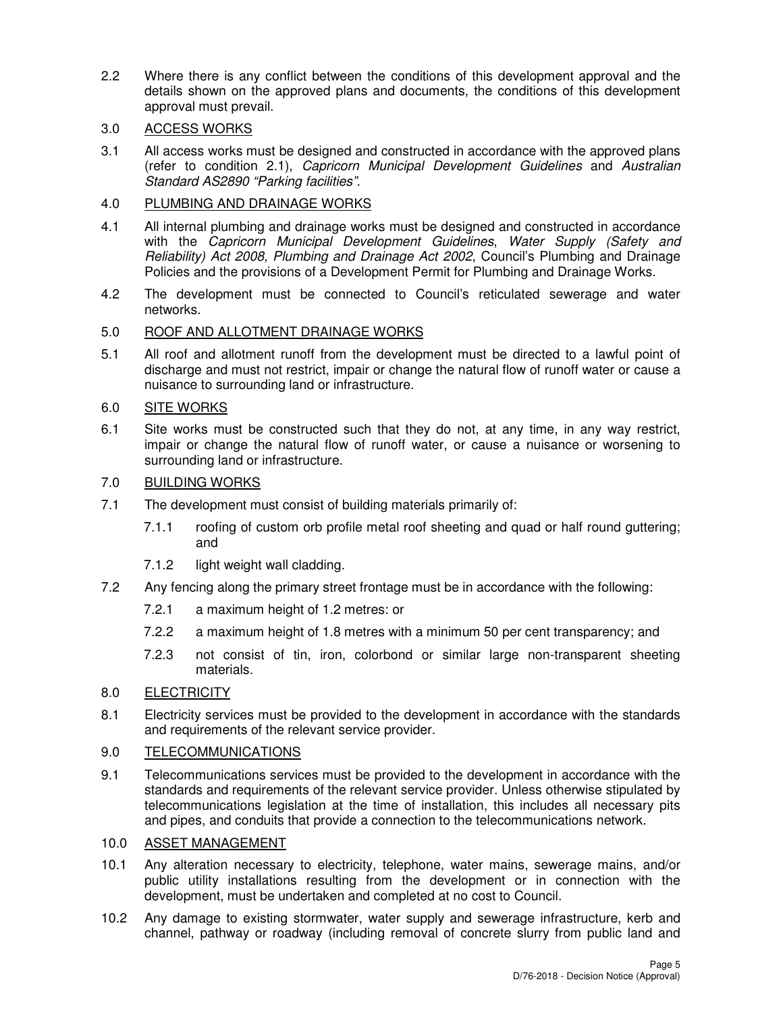2.2 Where there is any conflict between the conditions of this development approval and the details shown on the approved plans and documents, the conditions of this development approval must prevail.

## 3.0 ACCESS WORKS

3.1 All access works must be designed and constructed in accordance with the approved plans (refer to condition 2.1), Capricorn Municipal Development Guidelines and Australian Standard AS2890 "Parking facilities".

## 4.0 PLUMBING AND DRAINAGE WORKS

- 4.1 All internal plumbing and drainage works must be designed and constructed in accordance with the Capricorn Municipal Development Guidelines, Water Supply (Safety and Reliability) Act 2008, Plumbing and Drainage Act 2002, Council's Plumbing and Drainage Policies and the provisions of a Development Permit for Plumbing and Drainage Works.
- 4.2 The development must be connected to Council's reticulated sewerage and water networks.

## 5.0 ROOF AND ALLOTMENT DRAINAGE WORKS

5.1 All roof and allotment runoff from the development must be directed to a lawful point of discharge and must not restrict, impair or change the natural flow of runoff water or cause a nuisance to surrounding land or infrastructure.

## 6.0 SITE WORKS

6.1 Site works must be constructed such that they do not, at any time, in any way restrict, impair or change the natural flow of runoff water, or cause a nuisance or worsening to surrounding land or infrastructure.

## 7.0 BUILDING WORKS

- 7.1 The development must consist of building materials primarily of:
	- 7.1.1 roofing of custom orb profile metal roof sheeting and quad or half round guttering; and
	- 7.1.2 light weight wall cladding.
- 7.2 Any fencing along the primary street frontage must be in accordance with the following:
	- 7.2.1 a maximum height of 1.2 metres: or
	- 7.2.2 a maximum height of 1.8 metres with a minimum 50 per cent transparency; and
	- 7.2.3 not consist of tin, iron, colorbond or similar large non-transparent sheeting materials.

## 8.0 ELECTRICITY

8.1 Electricity services must be provided to the development in accordance with the standards and requirements of the relevant service provider.

## 9.0 TELECOMMUNICATIONS

9.1 Telecommunications services must be provided to the development in accordance with the standards and requirements of the relevant service provider. Unless otherwise stipulated by telecommunications legislation at the time of installation, this includes all necessary pits and pipes, and conduits that provide a connection to the telecommunications network.

## 10.0 ASSET MANAGEMENT

- 10.1 Any alteration necessary to electricity, telephone, water mains, sewerage mains, and/or public utility installations resulting from the development or in connection with the development, must be undertaken and completed at no cost to Council.
- 10.2 Any damage to existing stormwater, water supply and sewerage infrastructure, kerb and channel, pathway or roadway (including removal of concrete slurry from public land and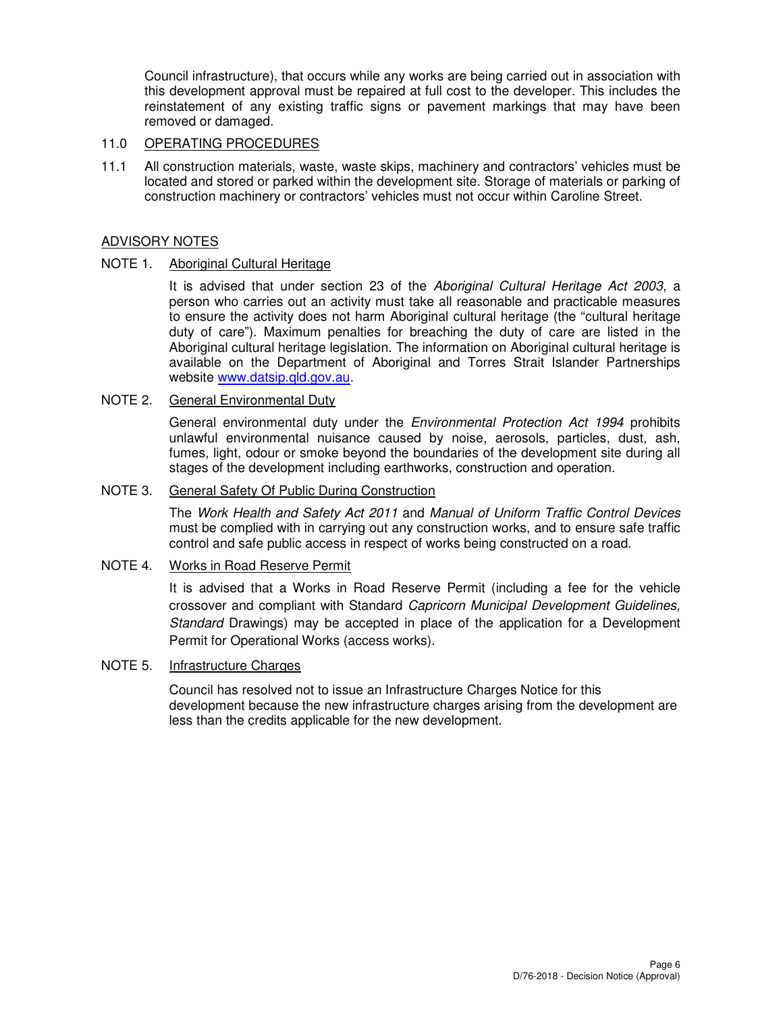Council infrastructure), that occurs while any works are being carried out in association with this development approval must be repaired at full cost to the developer. This includes the reinstatement of any existing traffic signs or pavement markings that may have been removed or damaged.

## 11.0 OPERATING PROCEDURES

11.1 All construction materials, waste, waste skips, machinery and contractors' vehicles must be located and stored or parked within the development site. Storage of materials or parking of construction machinery or contractors' vehicles must not occur within Caroline Street.

## ADVISORY NOTES

## NOTE 1. Aboriginal Cultural Heritage

It is advised that under section 23 of the Aboriginal Cultural Heritage Act 2003, a person who carries out an activity must take all reasonable and practicable measures to ensure the activity does not harm Aboriginal cultural heritage (the "cultural heritage duty of care"). Maximum penalties for breaching the duty of care are listed in the Aboriginal cultural heritage legislation. The information on Aboriginal cultural heritage is available on the Department of Aboriginal and Torres Strait Islander Partnerships website www.datsip.qld.gov.au.

## NOTE 2. General Environmental Duty

General environmental duty under the *Environmental Protection Act 1994* prohibits unlawful environmental nuisance caused by noise, aerosols, particles, dust, ash, fumes, light, odour or smoke beyond the boundaries of the development site during all stages of the development including earthworks, construction and operation.

## NOTE 3. General Safety Of Public During Construction

The Work Health and Safety Act 2011 and Manual of Uniform Traffic Control Devices must be complied with in carrying out any construction works, and to ensure safe traffic control and safe public access in respect of works being constructed on a road.

## NOTE 4. Works in Road Reserve Permit

It is advised that a Works in Road Reserve Permit (including a fee for the vehicle crossover and compliant with Standard Capricorn Municipal Development Guidelines, Standard Drawings) may be accepted in place of the application for a Development Permit for Operational Works (access works).

### NOTE 5. Infrastructure Charges

Council has resolved not to issue an Infrastructure Charges Notice for this development because the new infrastructure charges arising from the development are less than the credits applicable for the new development.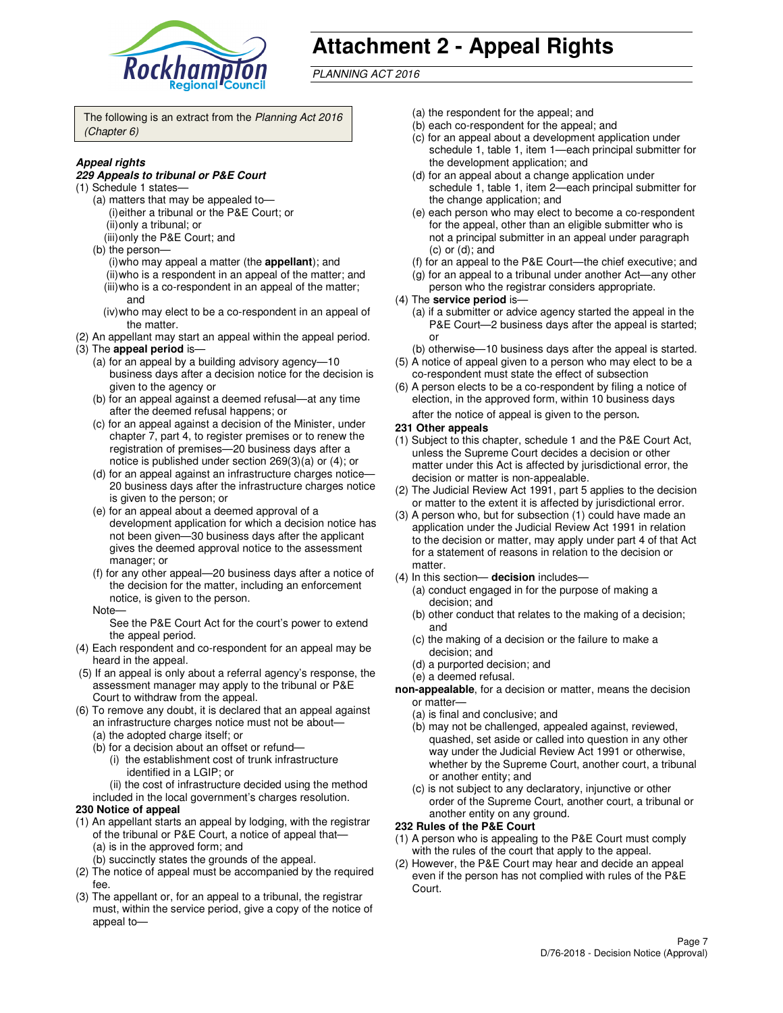

# **Attachment 2 - Appeal Rights**

PLANNING ACT 2016

The following is an extract from the Planning Act 2016 (Chapter 6)

### **Appeal rights**

#### **229 Appeals to tribunal or P&E Court**

- (1) Schedule 1 states—
	- (a) matters that may be appealed to— (i) either a tribunal or the P&E Court; or (ii) only a tribunal; or (iii) only the P&E Court; and
	- (b) the person—
		- (i) who may appeal a matter (the **appellant**); and
		- (ii) who is a respondent in an appeal of the matter; and
		- (iii) who is a co-respondent in an appeal of the matter; and
		- (iv) who may elect to be a co-respondent in an appeal of the matter.
- (2) An appellant may start an appeal within the appeal period.
- (3) The **appeal period** is—
	- (a) for an appeal by a building advisory agency—10 business days after a decision notice for the decision is given to the agency or
	- (b) for an appeal against a deemed refusal—at any time after the deemed refusal happens; or
	- (c) for an appeal against a decision of the Minister, under chapter 7, part 4, to register premises or to renew the registration of premises—20 business days after a notice is published under section 269(3)(a) or (4); or
	- (d) for an appeal against an infrastructure charges notice— 20 business days after the infrastructure charges notice is given to the person; or
	- (e) for an appeal about a deemed approval of a development application for which a decision notice has not been given—30 business days after the applicant gives the deemed approval notice to the assessment manager; or
	- (f) for any other appeal—20 business days after a notice of the decision for the matter, including an enforcement notice, is given to the person.
	- Note—

See the P&E Court Act for the court's power to extend the appeal period.

- (4) Each respondent and co-respondent for an appeal may be heard in the appeal.
- (5) If an appeal is only about a referral agency's response, the assessment manager may apply to the tribunal or P&E Court to withdraw from the appeal.
- (6) To remove any doubt, it is declared that an appeal against an infrastructure charges notice must not be about—
	- (a) the adopted charge itself; or
	- (b) for a decision about an offset or refund—
		- (i) the establishment cost of trunk infrastructure identified in a LGIP; or

(ii) the cost of infrastructure decided using the method

- included in the local government's charges resolution. **230 Notice of appeal**
- (1) An appellant starts an appeal by lodging, with the registrar
- of the tribunal or P&E Court, a notice of appeal that— (a) is in the approved form; and
	- (b) succinctly states the grounds of the appeal.
- (2) The notice of appeal must be accompanied by the required fee.
- (3) The appellant or, for an appeal to a tribunal, the registrar must, within the service period, give a copy of the notice of appeal to—
- (a) the respondent for the appeal; and
- (b) each co-respondent for the appeal; and
- (c) for an appeal about a development application under schedule 1, table 1, item 1—each principal submitter for the development application; and
- (d) for an appeal about a change application under schedule 1, table 1, item 2—each principal submitter for the change application; and
- (e) each person who may elect to become a co-respondent for the appeal, other than an eligible submitter who is not a principal submitter in an appeal under paragraph  $(c)$  or  $(d)$ ; and
- (f) for an appeal to the P&E Court—the chief executive; and
- (g) for an appeal to a tribunal under another Act—any other person who the registrar considers appropriate.
- (4) The **service period** is—
	- (a) if a submitter or advice agency started the appeal in the P&E Court—2 business days after the appeal is started; or
	- (b) otherwise—10 business days after the appeal is started.
- (5) A notice of appeal given to a person who may elect to be a co-respondent must state the effect of subsection
- (6) A person elects to be a co-respondent by filing a notice of election, in the approved form, within 10 business days after the notice of appeal is given to the person*.*
- **231 Other appeals**
- (1) Subject to this chapter, schedule 1 and the P&E Court Act, unless the Supreme Court decides a decision or other matter under this Act is affected by jurisdictional error, the decision or matter is non-appealable.
- (2) The Judicial Review Act 1991, part 5 applies to the decision or matter to the extent it is affected by jurisdictional error.
- (3) A person who, but for subsection (1) could have made an application under the Judicial Review Act 1991 in relation to the decision or matter, may apply under part 4 of that Act for a statement of reasons in relation to the decision or matter.
- (4) In this section— **decision** includes—
	- (a) conduct engaged in for the purpose of making a decision; and
	- (b) other conduct that relates to the making of a decision; and
	- (c) the making of a decision or the failure to make a decision; and
	- (d) a purported decision; and
	- (e) a deemed refusal.

**non-appealable**, for a decision or matter, means the decision or matter—

- (a) is final and conclusive; and
- (b) may not be challenged, appealed against, reviewed, quashed, set aside or called into question in any other way under the Judicial Review Act 1991 or otherwise, whether by the Supreme Court, another court, a tribunal or another entity; and
- (c) is not subject to any declaratory, injunctive or other order of the Supreme Court, another court, a tribunal or another entity on any ground.

#### **232 Rules of the P&E Court**

- (1) A person who is appealing to the P&E Court must comply with the rules of the court that apply to the appeal.
- (2) However, the P&E Court may hear and decide an appeal even if the person has not complied with rules of the P&E Court.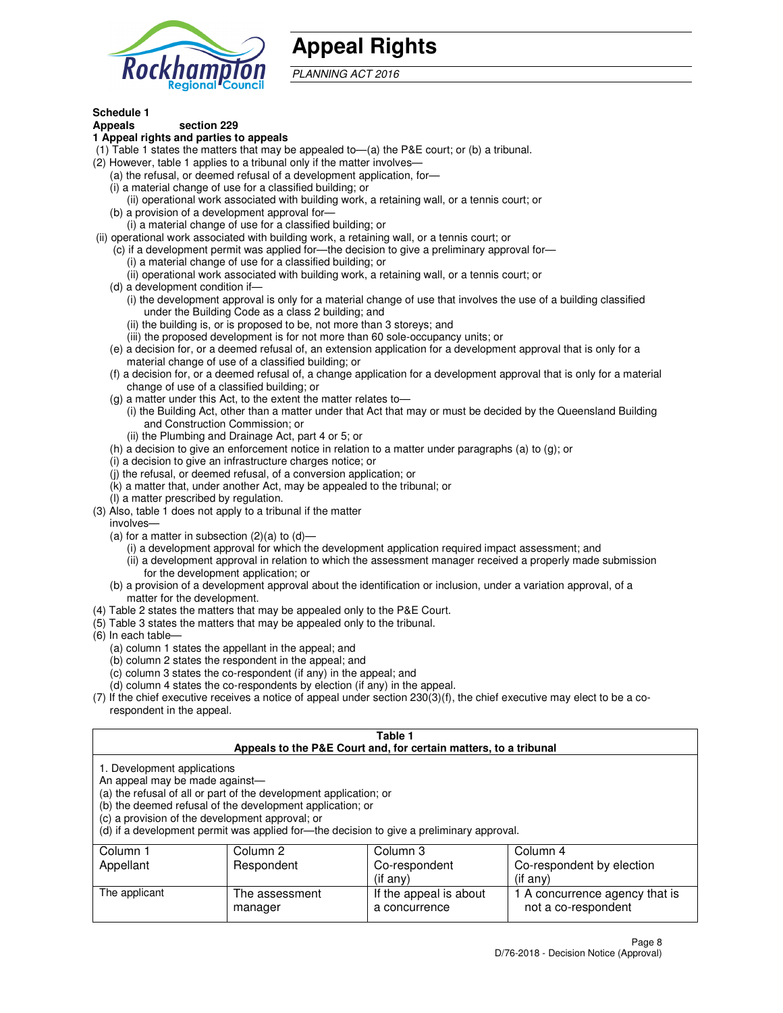

## **Appeal Rights**

PLANNING ACT 2016

## **Schedule 1**

## **Appeals section 229**

#### **1 Appeal rights and parties to appeals**

- (1) Table 1 states the matters that may be appealed to—(a) the P&E court; or (b) a tribunal.
- (2) However, table 1 applies to a tribunal only if the matter involves—
	- (a) the refusal, or deemed refusal of a development application, for—
	- (i) a material change of use for a classified building; or
	- (ii) operational work associated with building work, a retaining wall, or a tennis court; or
	- (b) a provision of a development approval for—
	- (i) a material change of use for a classified building; or
- (ii) operational work associated with building work, a retaining wall, or a tennis court; or
	- (c) if a development permit was applied for—the decision to give a preliminary approval for—
		- (i) a material change of use for a classified building; or
		- (ii) operational work associated with building work, a retaining wall, or a tennis court; or
	- (d) a development condition if—
		- (i) the development approval is only for a material change of use that involves the use of a building classified under the Building Code as a class 2 building; and
		- (ii) the building is, or is proposed to be, not more than 3 storeys; and
		- (iii) the proposed development is for not more than 60 sole-occupancy units; or
	- (e) a decision for, or a deemed refusal of, an extension application for a development approval that is only for a material change of use of a classified building; or
	- (f) a decision for, or a deemed refusal of, a change application for a development approval that is only for a material change of use of a classified building; or
	- (g) a matter under this Act, to the extent the matter relates to—
		- (i) the Building Act, other than a matter under that Act that may or must be decided by the Queensland Building and Construction Commission; or
		- (ii) the Plumbing and Drainage Act, part 4 or 5; or
	- (h) a decision to give an enforcement notice in relation to a matter under paragraphs (a) to (g); or
	- (i) a decision to give an infrastructure charges notice; or
	- (j) the refusal, or deemed refusal, of a conversion application; or
	- (k) a matter that, under another Act, may be appealed to the tribunal; or
	- (l) a matter prescribed by regulation.
- (3) Also, table 1 does not apply to a tribunal if the matter
	- involves—
	- (a) for a matter in subsection  $(2)(a)$  to  $(d)$ 
		- (i) a development approval for which the development application required impact assessment; and
		- (ii) a development approval in relation to which the assessment manager received a properly made submission for the development application; or
	- (b) a provision of a development approval about the identification or inclusion, under a variation approval, of a matter for the development.
- (4) Table 2 states the matters that may be appealed only to the P&E Court.
- (5) Table 3 states the matters that may be appealed only to the tribunal.
- (6) In each table—
	- (a) column 1 states the appellant in the appeal; and
	- (b) column 2 states the respondent in the appeal; and
	- (c) column 3 states the co-respondent (if any) in the appeal; and
	- (d) column 4 states the co-respondents by election (if any) in the appeal.
- $(7)$  If the chief executive receives a notice of appeal under section  $230(3)(f)$ , the chief executive may elect to be a corespondent in the appeal.

| Table 1<br>Appeals to the P&E Court and, for certain matters, to a tribunal                                      |                                                                                                                                |                                                                                          |                                                       |  |
|------------------------------------------------------------------------------------------------------------------|--------------------------------------------------------------------------------------------------------------------------------|------------------------------------------------------------------------------------------|-------------------------------------------------------|--|
| 1. Development applications<br>An appeal may be made against-<br>(c) a provision of the development approval; or | (a) the refusal of all or part of the development application; or<br>(b) the deemed refusal of the development application; or | (d) if a development permit was applied for—the decision to give a preliminary approval. |                                                       |  |
| Column 4<br>Column 1<br>Column 2<br>Column 3                                                                     |                                                                                                                                |                                                                                          |                                                       |  |
| Appellant                                                                                                        | Respondent                                                                                                                     | Co-respondent                                                                            | Co-respondent by election                             |  |
| (if any)<br>$($ if any $)$                                                                                       |                                                                                                                                |                                                                                          |                                                       |  |
| The applicant                                                                                                    | The assessment<br>manager                                                                                                      | If the appeal is about<br>a concurrence                                                  | 1 A concurrence agency that is<br>not a co-respondent |  |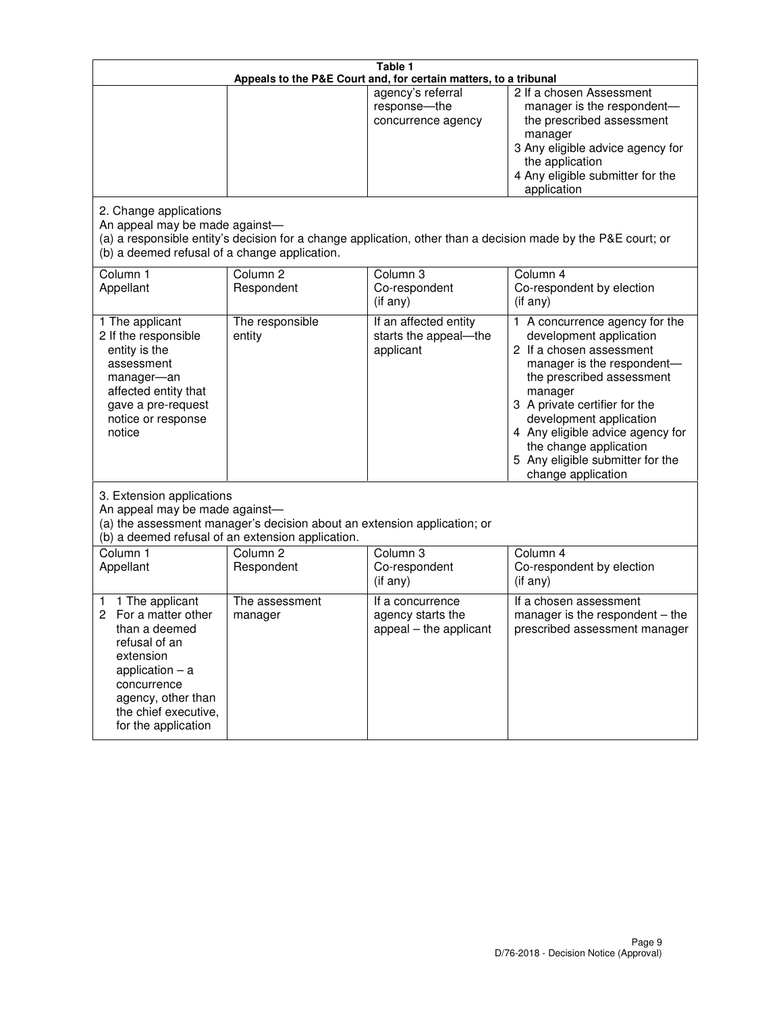|                                                                                                                                                                                                         | Table 1<br>Appeals to the P&E Court and, for certain matters, to a tribunal |                                                                 |                                                                                                                                                                                                                                                                                                                                                     |  |  |
|---------------------------------------------------------------------------------------------------------------------------------------------------------------------------------------------------------|-----------------------------------------------------------------------------|-----------------------------------------------------------------|-----------------------------------------------------------------------------------------------------------------------------------------------------------------------------------------------------------------------------------------------------------------------------------------------------------------------------------------------------|--|--|
|                                                                                                                                                                                                         |                                                                             | agency's referral<br>response-the<br>concurrence agency         | 2 If a chosen Assessment<br>manager is the respondent-<br>the prescribed assessment<br>manager<br>3 Any eligible advice agency for<br>the application<br>4 Any eligible submitter for the<br>application                                                                                                                                            |  |  |
| 2. Change applications<br>An appeal may be made against-<br>(b) a deemed refusal of a change application.                                                                                               |                                                                             |                                                                 | (a) a responsible entity's decision for a change application, other than a decision made by the P&E court; or                                                                                                                                                                                                                                       |  |  |
| Column <sub>1</sub><br>Appellant                                                                                                                                                                        | Column <sub>2</sub><br>Respondent                                           | Column <sub>3</sub><br>Co-respondent<br>(if any)                | Column 4<br>Co-respondent by election<br>(if any)                                                                                                                                                                                                                                                                                                   |  |  |
| 1 The applicant<br>2 If the responsible<br>entity is the<br>assessment<br>manager-an<br>affected entity that<br>gave a pre-request<br>notice or response<br>notice                                      | The responsible<br>entity                                                   | If an affected entity<br>starts the appeal-the<br>applicant     | A concurrence agency for the<br>1.<br>development application<br>2 If a chosen assessment<br>manager is the respondent-<br>the prescribed assessment<br>manager<br>3 A private certifier for the<br>development application<br>4 Any eligible advice agency for<br>the change application<br>5 Any eligible submitter for the<br>change application |  |  |
| 3. Extension applications<br>An appeal may be made against-<br>(a) the assessment manager's decision about an extension application; or<br>(b) a deemed refusal of an extension application.            |                                                                             |                                                                 |                                                                                                                                                                                                                                                                                                                                                     |  |  |
| Column 1<br>Appellant                                                                                                                                                                                   | Column <sub>2</sub><br>Respondent                                           | Column <sub>3</sub><br>Co-respondent<br>(if any)                | Column 4<br>Co-respondent by election<br>(if any)                                                                                                                                                                                                                                                                                                   |  |  |
| 1 The applicant<br>1<br>For a matter other<br>2<br>than a deemed<br>refusal of an<br>extension<br>application $-$ a<br>concurrence<br>agency, other than<br>the chief executive,<br>for the application | The assessment<br>manager                                                   | If a concurrence<br>agency starts the<br>appeal - the applicant | If a chosen assessment<br>manager is the respondent - the<br>prescribed assessment manager                                                                                                                                                                                                                                                          |  |  |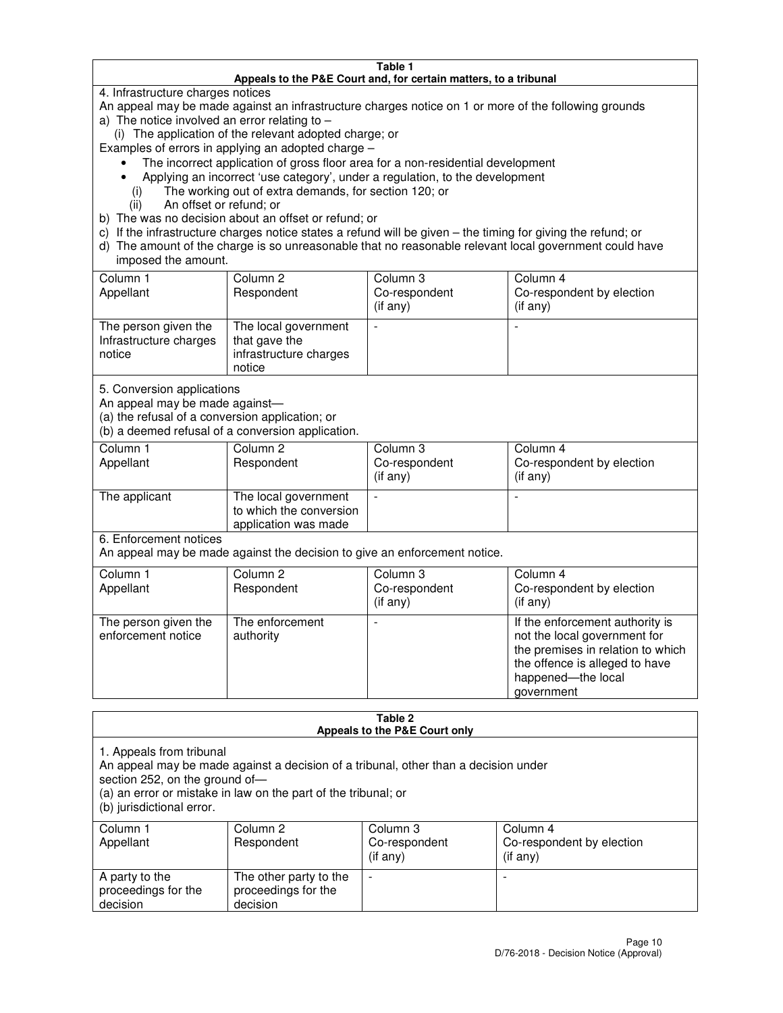#### **Table 1 Appeals to the P&E Court and, for certain matters, to a tribunal**

4. Infrastructure charges notices

An appeal may be made against an infrastructure charges notice on 1 or more of the following grounds

- a) The notice involved an error relating to
	- (i) The application of the relevant adopted charge; or

Examples of errors in applying an adopted charge –

- The incorrect application of gross floor area for a non-residential development
- Applying an incorrect 'use category', under a regulation, to the development
	- (i) The working out of extra demands, for section 120; or
	- (ii) An offset or refund; or
- b) The was no decision about an offset or refund; or
- c) If the infrastructure charges notice states a refund will be given the timing for giving the refund; or
- d) The amount of the charge is so unreasonable that no reasonable relevant local government could have imposed the amount.

| Column 1<br>Appellant                                    | Column 2<br>Respondent                                                    | Column 3<br>Co-respondent<br>$($ if any $)$ | Column 4<br>Co-respondent by election<br>$($ if any $)$ |
|----------------------------------------------------------|---------------------------------------------------------------------------|---------------------------------------------|---------------------------------------------------------|
| The person given the<br>Infrastructure charges<br>notice | The local government<br>that gave the<br>infrastructure charges<br>notice |                                             |                                                         |

5. Conversion applications

An appeal may be made against—

(a) the refusal of a conversion application; or

(b) a deemed refusal of a conversion application.

| Column 1<br>Appellant | Column 2<br>Respondent                                                  | Column 3<br>Co-respondent<br>$($ if any $)$ | Column 4<br>Co-respondent by election<br>$($ if any $)$ |  |  |
|-----------------------|-------------------------------------------------------------------------|---------------------------------------------|---------------------------------------------------------|--|--|
| The applicant         | The local government<br>to which the conversion<br>application was made |                                             |                                                         |  |  |

6. Enforcement notices

An appeal may be made against the decision to give an enforcement notice.

| Column 1<br>Appellant                      | Column 2<br>Respondent       | Column 3<br>Co-respondent<br>$($ if any $)$ | Column 4<br>Co-respondent by election<br>(if any)                                                                                                                          |
|--------------------------------------------|------------------------------|---------------------------------------------|----------------------------------------------------------------------------------------------------------------------------------------------------------------------------|
| The person given the<br>enforcement notice | The enforcement<br>authority |                                             | If the enforcement authority is<br>not the local government for<br>the premises in relation to which<br>the offence is alleged to have<br>happened-the local<br>government |

#### **Table 2 Appeals to the P&E Court only**

1. Appeals from tribunal

An appeal may be made against a decision of a tribunal, other than a decision under

section 252, on the ground of—

(a) an error or mistake in law on the part of the tribunal; or

(b) jurisdictional error.

| Column 1<br>Appellant                             | Column 2<br>Respondent                                    | Column 3<br>Co-respondent<br>(if any) | Column 4<br>Co-respondent by election<br>(if any) |
|---------------------------------------------------|-----------------------------------------------------------|---------------------------------------|---------------------------------------------------|
| A party to the<br>proceedings for the<br>decision | The other party to the<br>proceedings for the<br>decision | $\overline{\phantom{a}}$              |                                                   |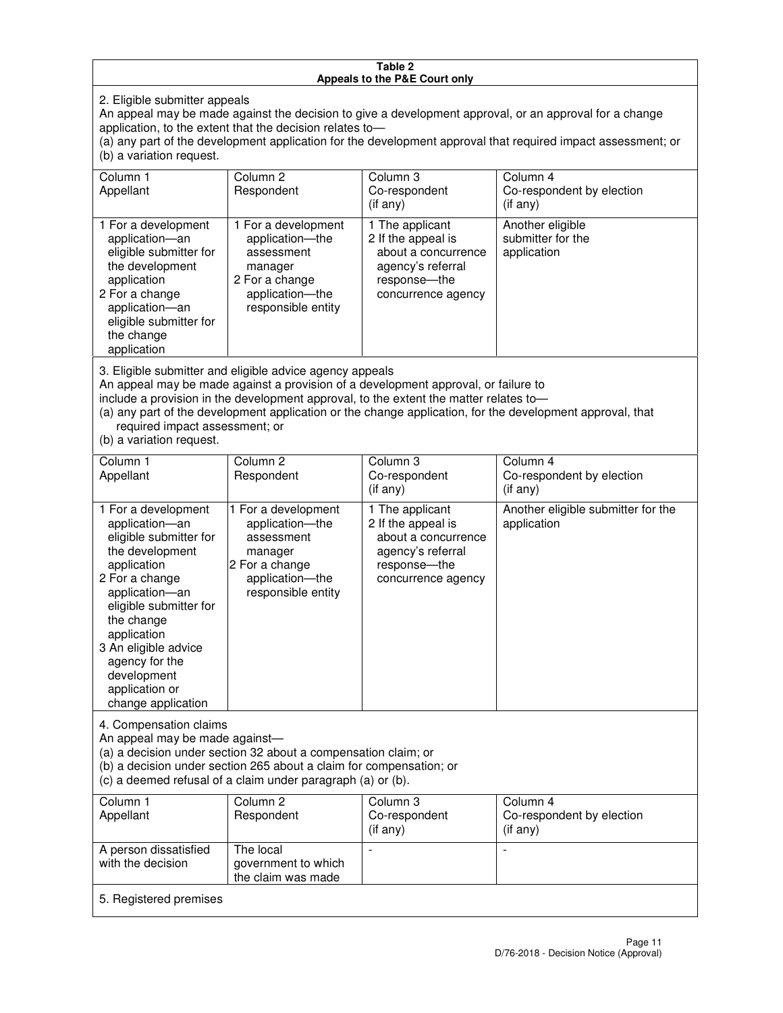#### **Table 2 Appeals to the P&E Court only**

2. Eligible submitter appeals

An appeal may be made against the decision to give a development approval, or an approval for a change application, to the extent that the decision relates to—

(a) any part of the development application for the development approval that required impact assessment; or (b) a variation request.

| Column 1<br>Appellant                                                                                                                                                                                                                                                                                                                                                                                              | Column 2<br>Respondent                                                                                                     | Column 3<br>Co-respondent<br>$($ if any $)$                                                                               | Column 4<br>Co-respondent by election<br>(i f any)   |
|--------------------------------------------------------------------------------------------------------------------------------------------------------------------------------------------------------------------------------------------------------------------------------------------------------------------------------------------------------------------------------------------------------------------|----------------------------------------------------------------------------------------------------------------------------|---------------------------------------------------------------------------------------------------------------------------|------------------------------------------------------|
| 1 For a development<br>application-an<br>eligible submitter for<br>the development<br>application<br>2 For a change<br>application-an<br>eligible submitter for<br>the change<br>application                                                                                                                                                                                                                       | 1 For a development<br>application-the<br>assessment<br>manager<br>2 For a change<br>application-the<br>responsible entity | 1 The applicant<br>2 If the appeal is<br>about a concurrence<br>agency's referral<br>response---the<br>concurrence agency | Another eligible<br>submitter for the<br>application |
| 3. Eligible submitter and eligible advice agency appeals<br>An appeal may be made against a provision of a development approval, or failure to<br>include a provision in the development approval, to the extent the matter relates to-<br>(a) any part of the development application or the change application, for the development approval, that<br>required impact assessment; or<br>(b) a variation request. |                                                                                                                            |                                                                                                                           |                                                      |
| Column <sub>1</sub><br>Appellant                                                                                                                                                                                                                                                                                                                                                                                   | Column <sub>2</sub><br>Respondent                                                                                          | Column 3<br>Co-respondent                                                                                                 | Column 4<br>Co-respondent by election                |
|                                                                                                                                                                                                                                                                                                                                                                                                                    |                                                                                                                            | (if any)                                                                                                                  | (i f any)                                            |
| 1 For a development<br>application-an<br>eligible submitter for<br>the development<br>application                                                                                                                                                                                                                                                                                                                  | 1 For a development<br>application-the<br>assessment<br>manager<br>2 For a change                                          | 1 The applicant<br>2 If the appeal is<br>about a concurrence<br>agency's referral<br>response---the                       | Another eligible submitter for the<br>application    |

concurrence agency

4. Compensation claims

2 For a change application—an eligible submitter for

the change application 3 An eligible advice agency for the development application or change application

An appeal may be made against—

(a) a decision under section 32 about a compensation claim; or

(b) a decision under section 265 about a claim for compensation; or

application—the responsible entity

(c) a deemed refusal of a claim under paragraph (a) or (b).

| Column 1<br>Appellant                      | Column 2<br>Respondent                                 | Column 3<br>Co-respondent<br>(if any) | Column 4<br>Co-respondent by election<br>$($ if any $)$ |
|--------------------------------------------|--------------------------------------------------------|---------------------------------------|---------------------------------------------------------|
| A person dissatisfied<br>with the decision | The local<br>government to which<br>the claim was made | -                                     |                                                         |
| 5. Registered premises                     |                                                        |                                       |                                                         |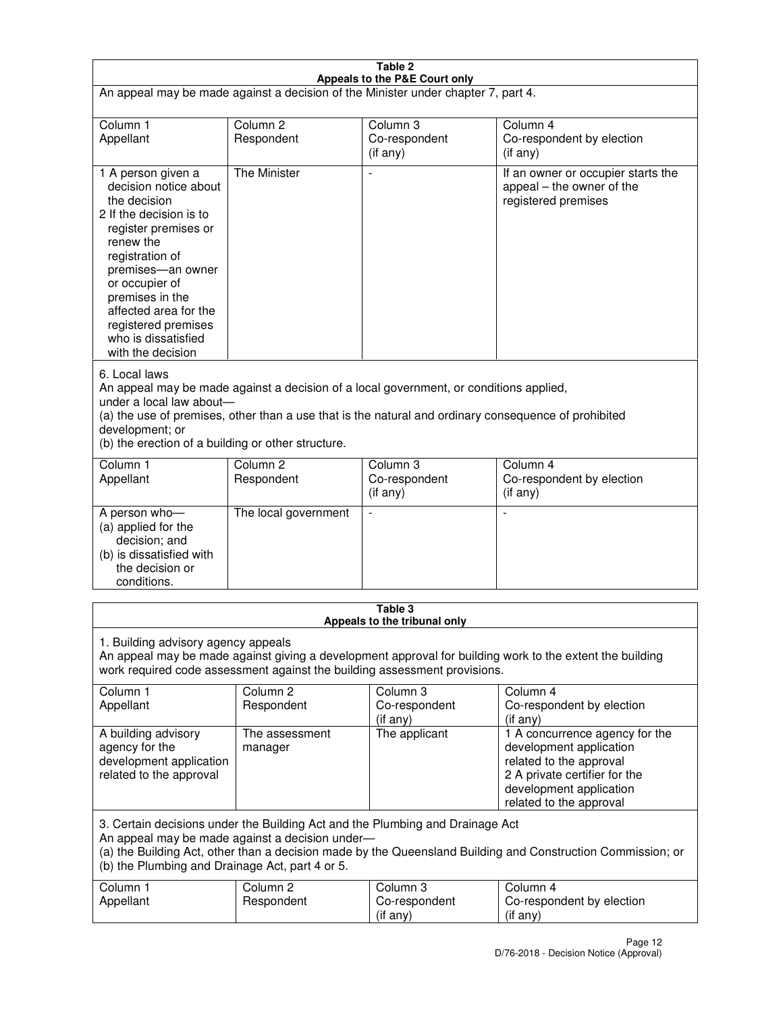| Table 2<br>Appeals to the P&E Court only                                                                                                                                                                                                                                                                                |                                   |                                       |                                                                                                                                                                             |  |  |
|-------------------------------------------------------------------------------------------------------------------------------------------------------------------------------------------------------------------------------------------------------------------------------------------------------------------------|-----------------------------------|---------------------------------------|-----------------------------------------------------------------------------------------------------------------------------------------------------------------------------|--|--|
| An appeal may be made against a decision of the Minister under chapter 7, part 4.                                                                                                                                                                                                                                       |                                   |                                       |                                                                                                                                                                             |  |  |
|                                                                                                                                                                                                                                                                                                                         |                                   |                                       |                                                                                                                                                                             |  |  |
| Column 1<br>Appellant                                                                                                                                                                                                                                                                                                   | Column <sub>2</sub><br>Respondent | Column <sub>3</sub><br>Co-respondent  | Column <sub>4</sub><br>Co-respondent by election                                                                                                                            |  |  |
|                                                                                                                                                                                                                                                                                                                         |                                   | (if any)                              | (if any)                                                                                                                                                                    |  |  |
| 1 A person given a<br>decision notice about<br>the decision<br>2 If the decision is to<br>register premises or<br>renew the<br>registration of<br>premises-an owner<br>or occupier of<br>premises in the<br>affected area for the<br>registered premises<br>who is dissatisfied<br>with the decision                    | <b>The Minister</b>               |                                       | If an owner or occupier starts the<br>appeal – the owner of the<br>registered premises                                                                                      |  |  |
| 6. Local laws<br>An appeal may be made against a decision of a local government, or conditions applied,<br>under a local law about-<br>(a) the use of premises, other than a use that is the natural and ordinary consequence of prohibited<br>development; or<br>(b) the erection of a building or other structure.    |                                   |                                       |                                                                                                                                                                             |  |  |
| Column 1                                                                                                                                                                                                                                                                                                                | Column <sub>2</sub>               | Column 3                              | Column $\overline{4}$                                                                                                                                                       |  |  |
| Appellant                                                                                                                                                                                                                                                                                                               | Respondent                        | Co-respondent<br>(if any)             | Co-respondent by election<br>(if any)                                                                                                                                       |  |  |
| A person who-<br>(a) applied for the<br>decision; and<br>(b) is dissatisfied with<br>the decision or<br>conditions.                                                                                                                                                                                                     | The local government              |                                       |                                                                                                                                                                             |  |  |
| Table 3                                                                                                                                                                                                                                                                                                                 |                                   |                                       |                                                                                                                                                                             |  |  |
| Appeals to the tribunal only<br>1. Building advisory agency appeals<br>An appeal may be made against giving a development approval for building work to the extent the building<br>work required code assessment against the building assessment provisions.<br>Column 1<br>Column <sub>2</sub><br>Column 3<br>Column 4 |                                   |                                       |                                                                                                                                                                             |  |  |
| Appellant                                                                                                                                                                                                                                                                                                               | Respondent                        | Co-respondent<br>(if any)             | Co-respondent by election<br>(if any)                                                                                                                                       |  |  |
| A building advisory<br>agency for the<br>development application<br>related to the approval                                                                                                                                                                                                                             | The assessment<br>manager         | The applicant                         | 1 A concurrence agency for the<br>development application<br>related to the approval<br>2 A private certifier for the<br>development application<br>related to the approval |  |  |
| 3. Certain decisions under the Building Act and the Plumbing and Drainage Act<br>An appeal may be made against a decision under-<br>(a) the Building Act, other than a decision made by the Queensland Building and Construction Commission; or<br>(b) the Plumbing and Drainage Act, part 4 or 5.                      |                                   |                                       |                                                                                                                                                                             |  |  |
| Column 1<br>Appellant                                                                                                                                                                                                                                                                                                   | Column <sub>2</sub><br>Respondent | Column 3<br>Co-respondent<br>(if any) | Column 4<br>Co-respondent by election<br>(if any)                                                                                                                           |  |  |